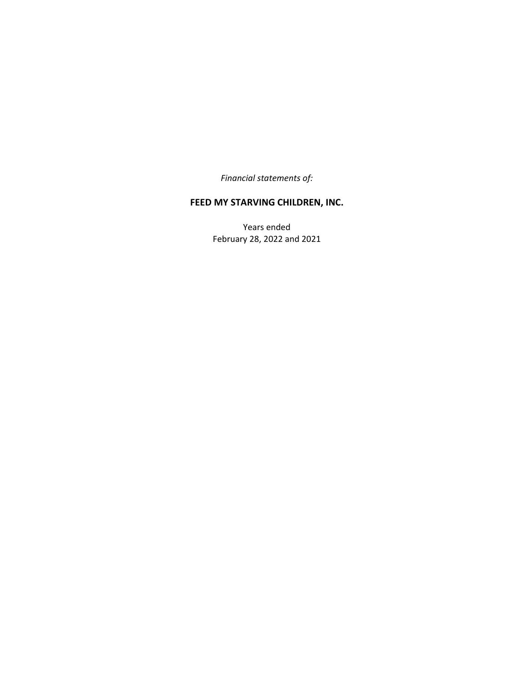*Financial statements of:*

# **FEED MY STARVING CHILDREN, INC.**

Years ended February 28, 2022 and 2021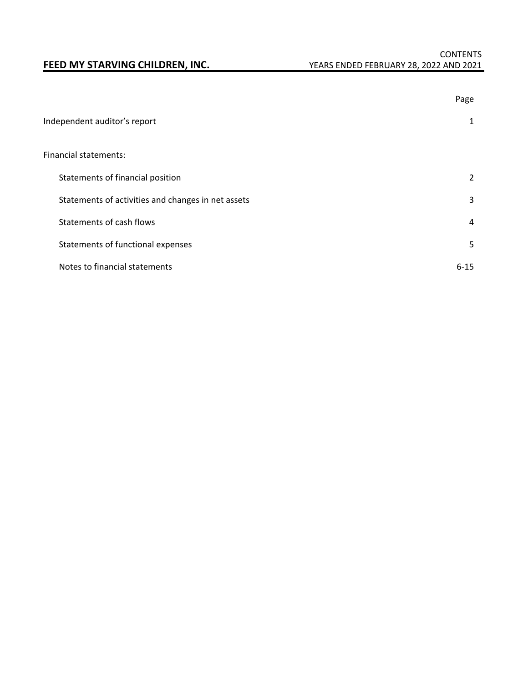|                                                    | Page     |
|----------------------------------------------------|----------|
| Independent auditor's report                       | 1        |
| <b>Financial statements:</b>                       |          |
| Statements of financial position                   | 2        |
| Statements of activities and changes in net assets | 3        |
| Statements of cash flows                           | 4        |
| Statements of functional expenses                  | 5        |
| Notes to financial statements                      | $6 - 15$ |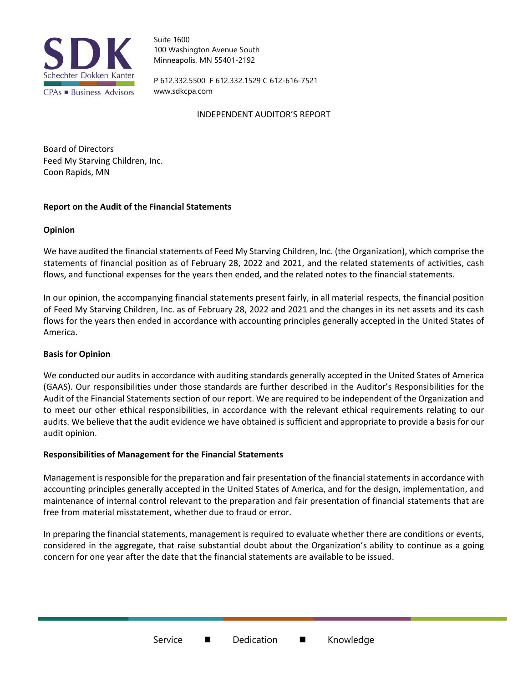

Suite 1600 100 Washington Avenue South Minneapolis, MN 55401-2192

P 612.332.5500 F 612.332.1529 C 612-616-7521 www.sdkcpa.com

INDEPENDENT AUDITOR'S REPORT

Board of Directors Feed My Starving Children, Inc. Coon Rapids, MN

## **Report on the Audit of the Financial Statements**

## **Opinion**

We have audited the financial statements of Feed My Starving Children, Inc. (the Organization), which comprise the statements of financial position as of February 28, 2022 and 2021, and the related statements of activities, cash flows, and functional expenses for the years then ended, and the related notes to the financial statements.

In our opinion, the accompanying financial statements present fairly, in all material respects, the financial position of Feed My Starving Children, Inc. as of February 28, 2022 and 2021 and the changes in its net assets and its cash flows for the years then ended in accordance with accounting principles generally accepted in the United States of America.

## **Basis for Opinion**

We conducted our audits in accordance with auditing standards generally accepted in the United States of America (GAAS). Our responsibilities under those standards are further described in the Auditor's Responsibilities for the Audit of the Financial Statements section of our report. We are required to be independent of the Organization and to meet our other ethical responsibilities, in accordance with the relevant ethical requirements relating to our audits. We believe that the audit evidence we have obtained is sufficient and appropriate to provide a basis for our audit opinion.

## **Responsibilities of Management for the Financial Statements**

Management is responsible for the preparation and fair presentation of the financial statements in accordance with accounting principles generally accepted in the United States of America, and for the design, implementation, and maintenance of internal control relevant to the preparation and fair presentation of financial statements that are free from material misstatement, whether due to fraud or error.

In preparing the financial statements, management is required to evaluate whether there are conditions or events, considered in the aggregate, that raise substantial doubt about the Organization's ability to continue as a going concern for one year after the date that the financial statements are available to be issued.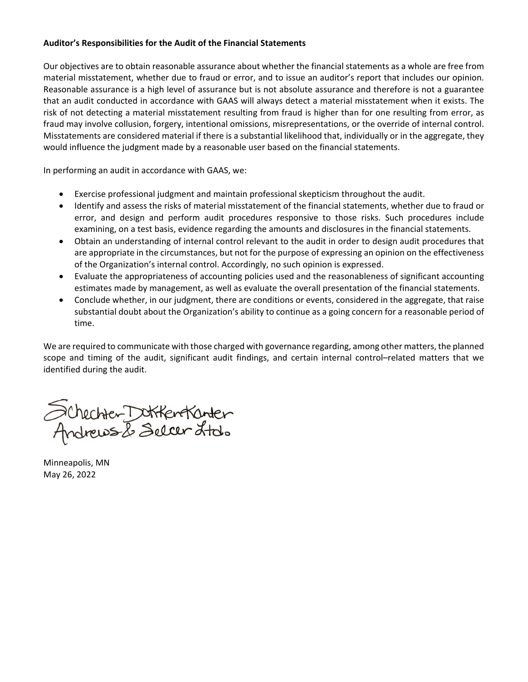## **Auditor's Responsibilities for the Audit of the Financial Statements**

Our objectives are to obtain reasonable assurance about whether the financial statements as a whole are free from material misstatement, whether due to fraud or error, and to issue an auditor's report that includes our opinion. Reasonable assurance is a high level of assurance but is not absolute assurance and therefore is not a guarantee that an audit conducted in accordance with GAAS will always detect a material misstatement when it exists. The risk of not detecting a material misstatement resulting from fraud is higher than for one resulting from error, as fraud may involve collusion, forgery, intentional omissions, misrepresentations, or the override of internal control. Misstatements are considered material if there is a substantial likelihood that, individually or in the aggregate, they would influence the judgment made by a reasonable user based on the financial statements.

In performing an audit in accordance with GAAS, we:

- Exercise professional judgment and maintain professional skepticism throughout the audit.
- Identify and assess the risks of material misstatement of the financial statements, whether due to fraud or error, and design and perform audit procedures responsive to those risks. Such procedures include examining, on a test basis, evidence regarding the amounts and disclosures in the financial statements.
- Obtain an understanding of internal control relevant to the audit in order to design audit procedures that are appropriate in the circumstances, but not for the purpose of expressing an opinion on the effectiveness of the Organization's internal control. Accordingly, no such opinion is expressed.
- Evaluate the appropriateness of accounting policies used and the reasonableness of significant accounting estimates made by management, as well as evaluate the overall presentation of the financial statements.
- Conclude whether, in our judgment, there are conditions or events, considered in the aggregate, that raise substantial doubt about the Organization's ability to continue as a going concern for a reasonable period of time.

We are required to communicate with those charged with governance regarding, among other matters, the planned scope and timing of the audit, significant audit findings, and certain internal control–related matters that we identified during the audit.

Schechter-Dottkerekanter<br>Andrews & Selcer Litol.

Minneapolis, MN May 26, 2022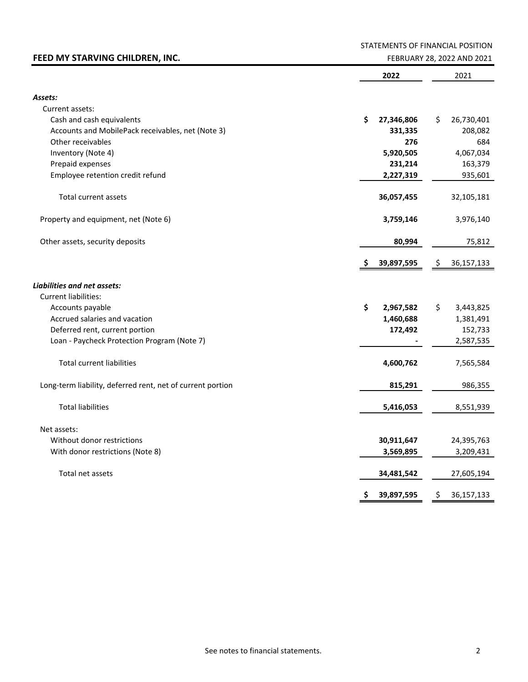| FEED MY STARVING CHILDREN, INC.                            |                  | FEBRUARY 28, 2022 AND 2021 |  |  |  |  |
|------------------------------------------------------------|------------------|----------------------------|--|--|--|--|
|                                                            | 2022             | 2021                       |  |  |  |  |
| Assets:                                                    |                  |                            |  |  |  |  |
| Current assets:                                            |                  |                            |  |  |  |  |
| Cash and cash equivalents                                  | \$<br>27,346,806 | \$<br>26,730,401           |  |  |  |  |
| Accounts and MobilePack receivables, net (Note 3)          | 331,335          | 208,082                    |  |  |  |  |
| Other receivables                                          | 276              | 684                        |  |  |  |  |
| Inventory (Note 4)                                         | 5,920,505        | 4,067,034                  |  |  |  |  |
| Prepaid expenses                                           | 231,214          | 163,379                    |  |  |  |  |
| Employee retention credit refund                           | 2,227,319        | 935,601                    |  |  |  |  |
| <b>Total current assets</b>                                | 36,057,455       | 32,105,181                 |  |  |  |  |
| Property and equipment, net (Note 6)                       | 3,759,146        | 3,976,140                  |  |  |  |  |
| Other assets, security deposits                            | 80,994           | 75,812                     |  |  |  |  |
|                                                            | 39,897,595       | 36, 157, 133<br>Ş.         |  |  |  |  |
| Liabilities and net assets:                                |                  |                            |  |  |  |  |
| Current liabilities:                                       |                  |                            |  |  |  |  |
| Accounts payable                                           | \$<br>2,967,582  | \$<br>3,443,825            |  |  |  |  |
| Accrued salaries and vacation                              | 1,460,688        | 1,381,491                  |  |  |  |  |
| Deferred rent, current portion                             | 172,492          | 152,733                    |  |  |  |  |
| Loan - Paycheck Protection Program (Note 7)                |                  | 2,587,535                  |  |  |  |  |
| <b>Total current liabilities</b>                           | 4,600,762        | 7,565,584                  |  |  |  |  |
| Long-term liability, deferred rent, net of current portion | 815,291          | 986,355                    |  |  |  |  |
| <b>Total liabilities</b>                                   | 5,416,053        | 8,551,939                  |  |  |  |  |
| Net assets:                                                |                  |                            |  |  |  |  |
| Without donor restrictions                                 | 30,911,647       | 24,395,763                 |  |  |  |  |
| With donor restrictions (Note 8)                           | 3,569,895        | 3,209,431                  |  |  |  |  |
| Total net assets                                           | 34,481,542       | 27,605,194                 |  |  |  |  |
|                                                            | \$<br>39,897,595 | \$<br>36,157,133           |  |  |  |  |

STATEMENTS OF FINANCIAL POSITION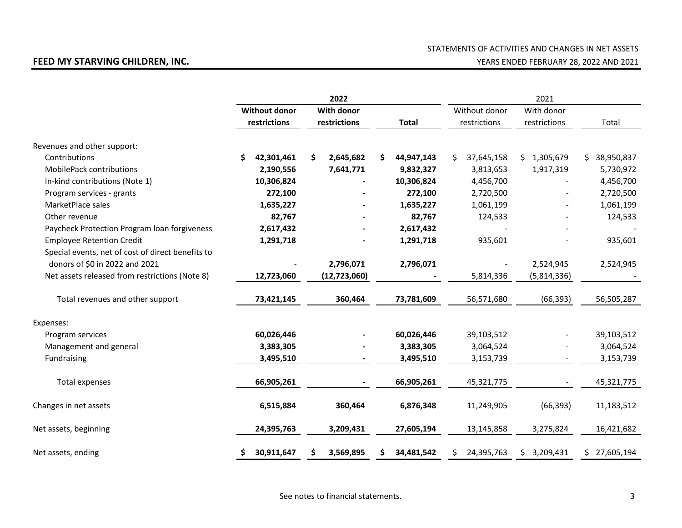## **FEED MY STARVING**

## STATEMENTS OF ACTIVITIES AND CHANGES IN NET ASSETS **CHILDREN, INC.** YEARS ENDED FEBRUARY 28, <sup>2022</sup> AND <sup>2021</sup>

|                                                   | 2022                                 |                            |                  | 2021                          |                            |                  |  |
|---------------------------------------------------|--------------------------------------|----------------------------|------------------|-------------------------------|----------------------------|------------------|--|
|                                                   | <b>Without donor</b><br>restrictions | With donor<br>restrictions | <b>Total</b>     | Without donor<br>restrictions | With donor<br>restrictions | Total            |  |
| Revenues and other support:                       |                                      |                            |                  |                               |                            |                  |  |
| Contributions                                     | 42,301,461<br>S.                     | Ś.<br>2,645,682            | \$<br>44,947,143 | 37,645,158<br>Ś.              | \$1,305,679                | 38,950,837<br>Ŝ. |  |
| MobilePack contributions                          | 2,190,556                            | 7,641,771                  | 9,832,327        | 3,813,653                     | 1,917,319                  | 5,730,972        |  |
| In-kind contributions (Note 1)                    | 10,306,824                           |                            | 10,306,824       | 4,456,700                     |                            | 4,456,700        |  |
| Program services - grants                         | 272,100                              |                            | 272,100          | 2,720,500                     |                            | 2,720,500        |  |
| MarketPlace sales                                 | 1,635,227                            |                            | 1,635,227        | 1,061,199                     |                            | 1,061,199        |  |
| Other revenue                                     | 82,767                               |                            | 82,767           | 124,533                       |                            | 124,533          |  |
| Paycheck Protection Program Ioan forgiveness      | 2,617,432                            |                            | 2,617,432        |                               |                            |                  |  |
| <b>Employee Retention Credit</b>                  | 1,291,718                            |                            | 1,291,718        | 935,601                       |                            | 935,601          |  |
| Special events, net of cost of direct benefits to |                                      |                            |                  |                               |                            |                  |  |
| donors of \$0 in 2022 and 2021                    |                                      | 2,796,071                  | 2,796,071        |                               | 2,524,945                  | 2,524,945        |  |
| Net assets released from restrictions (Note 8)    | 12,723,060                           | (12, 723, 060)             |                  | 5,814,336                     | (5,814,336)                |                  |  |
| Total revenues and other support                  | 73,421,145                           | 360,464                    | 73,781,609       | 56,571,680                    | (66, 393)                  | 56,505,287       |  |
| Expenses:                                         |                                      |                            |                  |                               |                            |                  |  |
| Program services                                  | 60,026,446                           |                            | 60,026,446       | 39,103,512                    |                            | 39,103,512       |  |
| Management and general                            | 3,383,305                            |                            | 3,383,305        | 3,064,524                     |                            | 3,064,524        |  |
| Fundraising                                       | 3,495,510                            |                            | 3,495,510        | 3,153,739                     |                            | 3,153,739        |  |
| Total expenses                                    | 66,905,261                           |                            | 66,905,261       | 45,321,775                    |                            | 45,321,775       |  |
| Changes in net assets                             | 6,515,884                            | 360,464                    | 6,876,348        | 11,249,905                    | (66, 393)                  | 11,183,512       |  |
| Net assets, beginning                             | 24,395,763                           | 3,209,431                  | 27,605,194       | 13,145,858                    | 3,275,824                  | 16,421,682       |  |
| Net assets, ending                                | 30,911,647<br>\$.                    | 3,569,895<br>S.            | 34,481,542<br>S  | 24,395,763<br>S.              | 3,209,431<br>Ś.            | \$27,605,194     |  |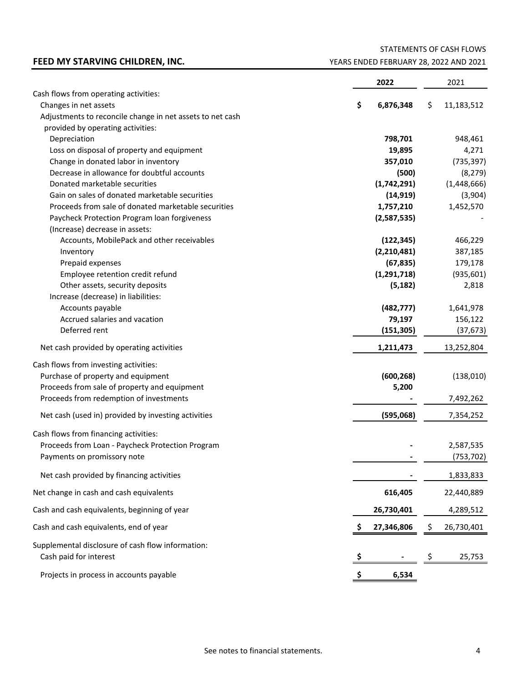STATEMENTS OF CASH FLOWS

# **FEED MY STARVING CHILDREN, INC.** The Matter of the MEARS ENDED FEBRUARY 28, 2022 AND 2021

|                                                           |    | 2022          |    | 2021        |  |
|-----------------------------------------------------------|----|---------------|----|-------------|--|
| Cash flows from operating activities:                     |    |               |    |             |  |
| Changes in net assets                                     | \$ | 6,876,348     | \$ | 11,183,512  |  |
| Adjustments to reconcile change in net assets to net cash |    |               |    |             |  |
| provided by operating activities:                         |    |               |    |             |  |
| Depreciation                                              |    | 798,701       |    | 948,461     |  |
| Loss on disposal of property and equipment                |    | 19,895        |    | 4,271       |  |
| Change in donated labor in inventory                      |    | 357,010       |    | (735, 397)  |  |
| Decrease in allowance for doubtful accounts               |    | (500)         |    | (8, 279)    |  |
| Donated marketable securities                             |    | (1,742,291)   |    | (1,448,666) |  |
| Gain on sales of donated marketable securities            |    | (14, 919)     |    | (3,904)     |  |
| Proceeds from sale of donated marketable securities       |    | 1,757,210     |    | 1,452,570   |  |
| Paycheck Protection Program loan forgiveness              |    | (2,587,535)   |    |             |  |
| (Increase) decrease in assets:                            |    |               |    |             |  |
| Accounts, MobilePack and other receivables                |    | (122, 345)    |    | 466,229     |  |
| Inventory                                                 |    | (2,210,481)   |    | 387,185     |  |
| Prepaid expenses                                          |    | (67, 835)     |    | 179,178     |  |
| Employee retention credit refund                          |    | (1, 291, 718) |    | (935, 601)  |  |
| Other assets, security deposits                           |    | (5, 182)      |    | 2,818       |  |
| Increase (decrease) in liabilities:                       |    |               |    |             |  |
| Accounts payable                                          |    | (482, 777)    |    | 1,641,978   |  |
| Accrued salaries and vacation                             |    | 79,197        |    | 156,122     |  |
| Deferred rent                                             |    | (151, 305)    |    | (37, 673)   |  |
| Net cash provided by operating activities                 |    | 1,211,473     |    | 13,252,804  |  |
| Cash flows from investing activities:                     |    |               |    |             |  |
| Purchase of property and equipment                        |    | (600, 268)    |    | (138,010)   |  |
| Proceeds from sale of property and equipment              |    | 5,200         |    |             |  |
| Proceeds from redemption of investments                   |    |               |    | 7,492,262   |  |
| Net cash (used in) provided by investing activities       |    | (595,068)     |    | 7,354,252   |  |
|                                                           |    |               |    |             |  |
| Cash flows from financing activities:                     |    |               |    |             |  |
| Proceeds from Loan - Paycheck Protection Program          |    |               |    | 2,587,535   |  |
| Payments on promissory note                               |    |               |    | (753, 702)  |  |
| Net cash provided by financing activities                 |    |               |    | 1,833,833   |  |
| Net change in cash and cash equivalents                   |    | 616,405       |    | 22,440,889  |  |
| Cash and cash equivalents, beginning of year              |    | 26,730,401    |    | 4,289,512   |  |
| Cash and cash equivalents, end of year                    | S  | 27,346,806    | Ş  | 26,730,401  |  |
| Supplemental disclosure of cash flow information:         |    |               |    |             |  |
| Cash paid for interest                                    |    |               |    | 25,753      |  |
|                                                           |    |               |    |             |  |
| Projects in process in accounts payable                   |    | 6,534         |    |             |  |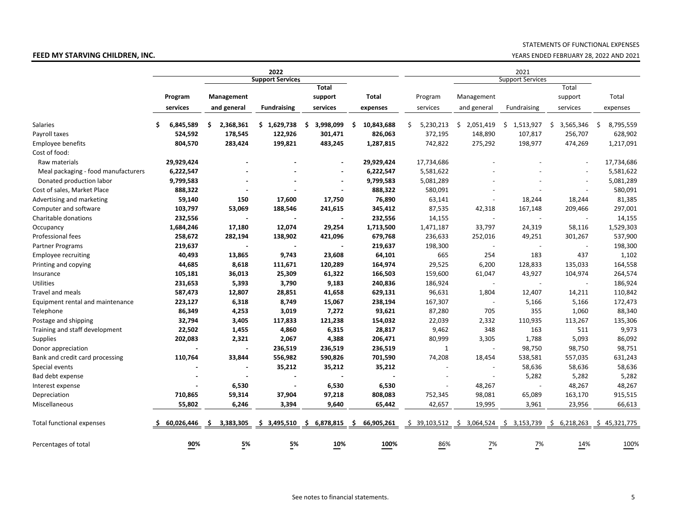#### **FEED MY STARVING**

**CHILDREN, INC.** YEARS ENDED FEBRUARY 28, 2022 AND 2021

|                                     | 2022                    |                 |                    |                  |                  |                  |                          |                 |                 |                  |
|-------------------------------------|-------------------------|-----------------|--------------------|------------------|------------------|------------------|--------------------------|-----------------|-----------------|------------------|
|                                     | <b>Support Services</b> |                 |                    |                  |                  |                  | <b>Support Services</b>  |                 |                 |                  |
|                                     |                         |                 |                    | <b>Total</b>     |                  |                  |                          |                 | Total           |                  |
|                                     | Program                 | Management      |                    | support          | <b>Total</b>     | Program          | Management               |                 | support         | Total            |
|                                     | services                | and general     | <b>Fundraising</b> | services         | expenses         | services         | and general              | Fundraising     | services        | expenses         |
| Salaries                            | Ś<br>6,845,589          | 2,368,361<br>\$ | \$1,629,738        | 3,998,099<br>\$. | 10,843,688<br>\$ | 5,230,213<br>Ŝ.  | \$<br>2,051,419          | 1,513,927<br>\$ | 3,565,346<br>\$ | 8,795,559<br>\$  |
| Payroll taxes                       | 524,592                 | 178,545         | 122,926            | 301,471          | 826,063          | 372,195          | 148,890                  | 107,817         | 256,707         | 628,902          |
| Employee benefits                   | 804,570                 | 283,424         | 199,821            | 483,245          | 1,287,815        | 742,822          | 275,292                  | 198,977         | 474,269         | 1,217,091        |
| Cost of food:                       |                         |                 |                    |                  |                  |                  |                          |                 |                 |                  |
| Raw materials                       | 29,929,424              |                 |                    |                  | 29,929,424       | 17,734,686       |                          |                 |                 | 17,734,686       |
| Meal packaging - food manufacturers | 6,222,547               |                 |                    |                  | 6,222,547        | 5,581,622        |                          |                 |                 | 5,581,622        |
| Donated production labor            | 9,799,583               |                 |                    |                  | 9,799,583        | 5,081,289        |                          |                 |                 | 5,081,289        |
| Cost of sales, Market Place         | 888,322                 |                 |                    |                  | 888,322          | 580,091          |                          |                 |                 | 580,091          |
| Advertising and marketing           | 59,140                  | 150             | 17,600             | 17,750           | 76,890           | 63,141           |                          | 18,244          | 18,244          | 81,385           |
| Computer and software               | 103,797                 | 53,069          | 188,546            | 241,615          | 345,412          | 87,535           | 42,318                   | 167,148         | 209,466         | 297,001          |
| Charitable donations                | 232,556                 |                 |                    |                  | 232,556          | 14,155           |                          |                 |                 | 14,155           |
| Occupancy                           | 1,684,246               | 17,180          | 12,074             | 29,254           | 1,713,500        | 1,471,187        | 33,797                   | 24,319          | 58,116          | 1,529,303        |
| Professional fees                   | 258,672                 | 282,194         | 138,902            | 421,096          | 679,768          | 236,633          | 252,016                  | 49,251          | 301,267         | 537,900          |
| Partner Programs                    | 219,637                 |                 |                    |                  | 219,637          | 198,300          |                          |                 |                 | 198,300          |
| <b>Employee recruiting</b>          | 40,493                  | 13,865          | 9,743              | 23,608           | 64,101           | 665              | 254                      | 183             | 437             | 1,102            |
| Printing and copying                | 44,685                  | 8,618           | 111,671            | 120,289          | 164,974          | 29,525           | 6,200                    | 128,833         | 135,033         | 164,558          |
| Insurance                           | 105,181                 | 36,013          | 25,309             | 61,322           | 166,503          | 159,600          | 61,047                   | 43,927          | 104,974         | 264,574          |
| Utilities                           | 231,653                 | 5,393           | 3,790              | 9,183            | 240,836          | 186,924          |                          |                 |                 | 186,924          |
| Travel and meals                    | 587,473                 | 12,807          | 28,851             | 41,658           | 629,131          | 96,631           | 1,804                    | 12,407          | 14,211          | 110,842          |
| Equipment rental and maintenance    | 223,127                 | 6,318           | 8,749              | 15,067           | 238,194          | 167,307          | $\overline{\phantom{a}}$ | 5,166           | 5,166           | 172,473          |
| Telephone                           | 86,349                  | 4,253           | 3,019              | 7,272            | 93,621           | 87,280           | 705                      | 355             | 1,060           | 88,340           |
| Postage and shipping                | 32,794                  | 3,405           | 117,833            | 121,238          | 154,032          | 22,039           | 2,332                    | 110,935         | 113,267         | 135,306          |
| Training and staff development      | 22,502                  | 1,455           | 4,860              | 6,315            | 28,817           | 9,462            | 348                      | 163             | 511             | 9,973            |
| <b>Supplies</b>                     | 202,083                 | 2,321           | 2,067              | 4,388            | 206,471          | 80,999           | 3,305                    | 1,788           | 5,093           | 86,092           |
| Donor appreciation                  |                         |                 | 236,519            | 236,519          | 236,519          | 1                |                          | 98,750          | 98,750          | 98,751           |
| Bank and credit card processing     | 110,764                 | 33,844          | 556,982            | 590,826          | 701,590          | 74,208           | 18,454                   | 538,581         | 557,035         | 631,243          |
| Special events                      |                         |                 | 35,212             | 35,212           | 35,212           |                  |                          | 58,636          | 58,636          | 58,636           |
| Bad debt expense                    |                         |                 |                    |                  |                  |                  |                          | 5,282           | 5,282           | 5,282            |
| Interest expense                    |                         | 6,530           |                    | 6,530            | 6,530            |                  | 48,267                   |                 | 48,267          | 48,267           |
| Depreciation                        | 710,865                 | 59,314          | 37,904             | 97,218           | 808,083          | 752,345          | 98,081                   | 65,089          | 163,170         | 915,515          |
| Miscellaneous                       | 55,802                  | 6,246           | 3,394              | 9,640            | 65,442           | 42,657           | 19,995                   | 3,961           | 23,956          | 66,613           |
| <b>Total functional expenses</b>    | 60,026,446<br>-S        | 3,383,305       | 3,495,510<br>S     | 6,878,815<br>\$. | 66,905,261<br>S. | 39,103,512<br>-S | 3,064,524<br>S.          | 3,153,739<br>\$ | 6,218,263<br>S. | 45,321,775<br>S. |
| Percentages of total                | 90%                     | 5%              | 5%                 | 10%              | 100%             | 86%              | 7%                       | 7%              | 14%             | 100%             |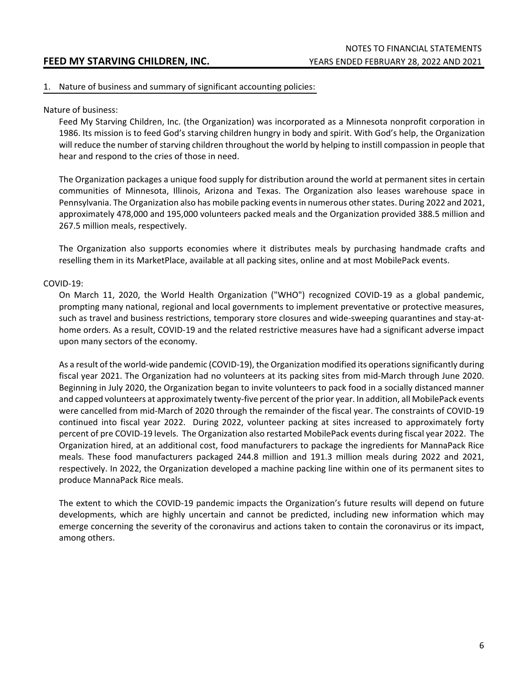#### Nature of business:

Feed My Starving Children, Inc. (the Organization) was incorporated as a Minnesota nonprofit corporation in 1986. Its mission is to feed God's starving children hungry in body and spirit. With God's help, the Organization will reduce the number of starving children throughout the world by helping to instill compassion in people that hear and respond to the cries of those in need.

The Organization packages a unique food supply for distribution around the world at permanent sites in certain communities of Minnesota, Illinois, Arizona and Texas. The Organization also leases warehouse space in Pennsylvania. The Organization also has mobile packing events in numerous other states. During 2022 and 2021, approximately 478,000 and 195,000 volunteers packed meals and the Organization provided 388.5 million and 267.5 million meals, respectively.

The Organization also supports economies where it distributes meals by purchasing handmade crafts and reselling them in its MarketPlace, available at all packing sites, online and at most MobilePack events.

#### COVID‐19:

On March 11, 2020, the World Health Organization ("WHO") recognized COVID‐19 as a global pandemic, prompting many national, regional and local governments to implement preventative or protective measures, such as travel and business restrictions, temporary store closures and wide‐sweeping quarantines and stay‐at‐ home orders. As a result, COVID‐19 and the related restrictive measures have had a significant adverse impact upon many sectors of the economy.

As a result of the world-wide pandemic (COVID-19), the Organization modified its operations significantly during fiscal year 2021. The Organization had no volunteers at its packing sites from mid‐March through June 2020. Beginning in July 2020, the Organization began to invite volunteers to pack food in a socially distanced manner and capped volunteers at approximately twenty‐five percent of the prior year. In addition, all MobilePack events were cancelled from mid-March of 2020 through the remainder of the fiscal year. The constraints of COVID-19 continued into fiscal year 2022. During 2022, volunteer packing at sites increased to approximately forty percent of pre COVID‐19 levels. The Organization also restarted MobilePack events during fiscal year 2022. The Organization hired, at an additional cost, food manufacturers to package the ingredients for MannaPack Rice meals. These food manufacturers packaged 244.8 million and 191.3 million meals during 2022 and 2021, respectively. In 2022, the Organization developed a machine packing line within one of its permanent sites to produce MannaPack Rice meals.

The extent to which the COVID‐19 pandemic impacts the Organization's future results will depend on future developments, which are highly uncertain and cannot be predicted, including new information which may emerge concerning the severity of the coronavirus and actions taken to contain the coronavirus or its impact, among others.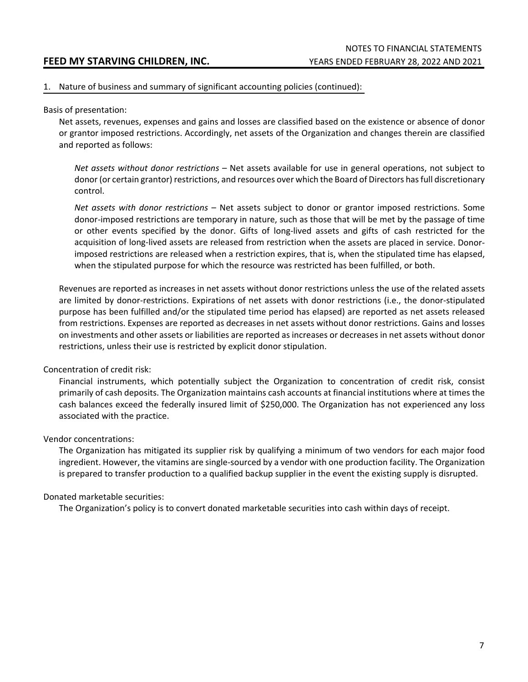Basis of presentation:

Net assets, revenues, expenses and gains and losses are classified based on the existence or absence of donor or grantor imposed restrictions. Accordingly, net assets of the Organization and changes therein are classified and reported as follows:

*Net assets without donor restrictions* – Net assets available for use in general operations, not subject to donor (or certain grantor) restrictions, and resources over which the Board of Directors has full discretionary control.

*Net assets with donor restrictions* – Net assets subject to donor or grantor imposed restrictions. Some donor‐imposed restrictions are temporary in nature, such as those that will be met by the passage of time or other events specified by the donor. Gifts of long‐lived assets and gifts of cash restricted for the acquisition of long‐lived assets are released from restriction when the assets are placed in service. Donor‐ imposed restrictions are released when a restriction expires, that is, when the stipulated time has elapsed, when the stipulated purpose for which the resource was restricted has been fulfilled, or both.

Revenues are reported as increases in net assets without donor restrictions unless the use of the related assets are limited by donor-restrictions. Expirations of net assets with donor restrictions (i.e., the donor-stipulated purpose has been fulfilled and/or the stipulated time period has elapsed) are reported as net assets released from restrictions. Expenses are reported as decreases in net assets without donor restrictions. Gains and losses on investments and other assets or liabilities are reported as increases or decreases in net assets without donor restrictions, unless their use is restricted by explicit donor stipulation.

### Concentration of credit risk:

Financial instruments, which potentially subject the Organization to concentration of credit risk, consist primarily of cash deposits. The Organization maintains cash accounts at financial institutions where at times the cash balances exceed the federally insured limit of \$250,000. The Organization has not experienced any loss associated with the practice.

#### Vendor concentrations:

The Organization has mitigated its supplier risk by qualifying a minimum of two vendors for each major food ingredient. However, the vitamins are single‐sourced by a vendor with one production facility. The Organization is prepared to transfer production to a qualified backup supplier in the event the existing supply is disrupted.

#### Donated marketable securities:

The Organization's policy is to convert donated marketable securities into cash within days of receipt.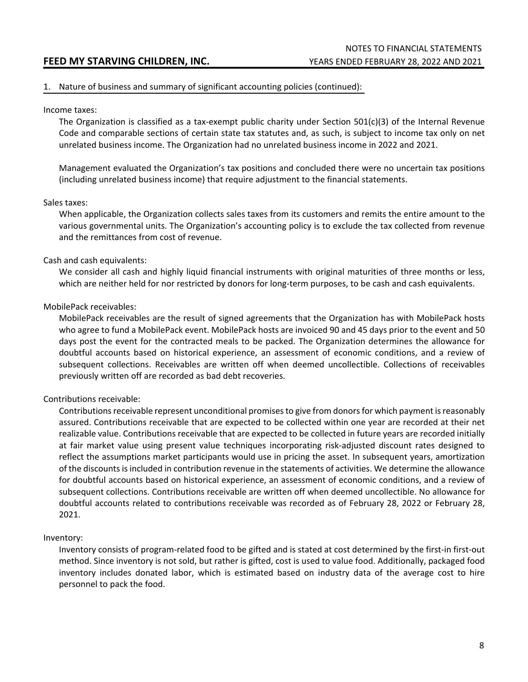#### Income taxes:

The Organization is classified as a tax-exempt public charity under Section  $501(c)(3)$  of the Internal Revenue Code and comparable sections of certain state tax statutes and, as such, is subject to income tax only on net unrelated business income. The Organization had no unrelated business income in 2022 and 2021.

Management evaluated the Organization's tax positions and concluded there were no uncertain tax positions (including unrelated business income) that require adjustment to the financial statements.

### Sales taxes:

When applicable, the Organization collects sales taxes from its customers and remits the entire amount to the various governmental units. The Organization's accounting policy is to exclude the tax collected from revenue and the remittances from cost of revenue.

## Cash and cash equivalents:

We consider all cash and highly liquid financial instruments with original maturities of three months or less, which are neither held for nor restricted by donors for long-term purposes, to be cash and cash equivalents.

### MobilePack receivables:

MobilePack receivables are the result of signed agreements that the Organization has with MobilePack hosts who agree to fund a MobilePack event. MobilePack hosts are invoiced 90 and 45 days prior to the event and 50 days post the event for the contracted meals to be packed. The Organization determines the allowance for doubtful accounts based on historical experience, an assessment of economic conditions, and a review of subsequent collections. Receivables are written off when deemed uncollectible. Collections of receivables previously written off are recorded as bad debt recoveries.

## Contributions receivable:

Contributions receivable represent unconditional promises to give from donors for which payment is reasonably assured. Contributions receivable that are expected to be collected within one year are recorded at their net realizable value. Contributions receivable that are expected to be collected in future years are recorded initially at fair market value using present value techniques incorporating risk‐adjusted discount rates designed to reflect the assumptions market participants would use in pricing the asset. In subsequent years, amortization of the discountsis included in contribution revenue in the statements of activities. We determine the allowance for doubtful accounts based on historical experience, an assessment of economic conditions, and a review of subsequent collections. Contributions receivable are written off when deemed uncollectible. No allowance for doubtful accounts related to contributions receivable was recorded as of February 28, 2022 or February 28, 2021.

#### Inventory:

Inventory consists of program-related food to be gifted and is stated at cost determined by the first-in first-out method. Since inventory is not sold, but rather is gifted, cost is used to value food. Additionally, packaged food inventory includes donated labor, which is estimated based on industry data of the average cost to hire personnel to pack the food.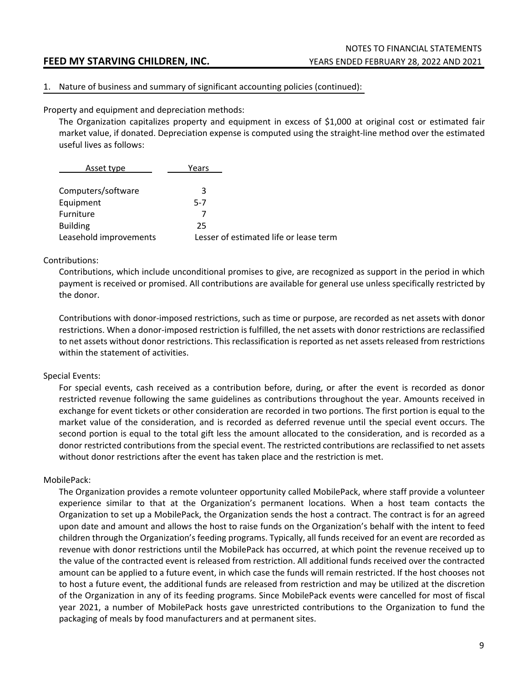Property and equipment and depreciation methods:

The Organization capitalizes property and equipment in excess of \$1,000 at original cost or estimated fair market value, if donated. Depreciation expense is computed using the straight‐line method over the estimated useful lives as follows:

| Asset type             | Years |                                        |
|------------------------|-------|----------------------------------------|
|                        |       |                                        |
| Computers/software     | 3     |                                        |
| Equipment              | $5-7$ |                                        |
| Furniture              |       |                                        |
| <b>Building</b>        | 25    |                                        |
| Leasehold improvements |       | Lesser of estimated life or lease term |

### Contributions:

Contributions, which include unconditional promises to give, are recognized as support in the period in which payment is received or promised. All contributions are available for general use unless specifically restricted by the donor.

Contributions with donor‐imposed restrictions, such as time or purpose, are recorded as net assets with donor restrictions. When a donor‐imposed restriction is fulfilled, the net assets with donor restrictions are reclassified to net assets without donor restrictions. This reclassification is reported as net assets released from restrictions within the statement of activities.

## Special Events:

For special events, cash received as a contribution before, during, or after the event is recorded as donor restricted revenue following the same guidelines as contributions throughout the year. Amounts received in exchange for event tickets or other consideration are recorded in two portions. The first portion is equal to the market value of the consideration, and is recorded as deferred revenue until the special event occurs. The second portion is equal to the total gift less the amount allocated to the consideration, and is recorded as a donor restricted contributions from the special event. The restricted contributions are reclassified to net assets without donor restrictions after the event has taken place and the restriction is met.

#### MobilePack:

The Organization provides a remote volunteer opportunity called MobilePack, where staff provide a volunteer experience similar to that at the Organization's permanent locations. When a host team contacts the Organization to set up a MobilePack, the Organization sends the host a contract. The contract is for an agreed upon date and amount and allows the host to raise funds on the Organization's behalf with the intent to feed children through the Organization's feeding programs. Typically, all funds received for an event are recorded as revenue with donor restrictions until the MobilePack has occurred, at which point the revenue received up to the value of the contracted event is released from restriction. All additional funds received over the contracted amount can be applied to a future event, in which case the funds will remain restricted. If the host chooses not to host a future event, the additional funds are released from restriction and may be utilized at the discretion of the Organization in any of its feeding programs. Since MobilePack events were cancelled for most of fiscal year 2021, a number of MobilePack hosts gave unrestricted contributions to the Organization to fund the packaging of meals by food manufacturers and at permanent sites.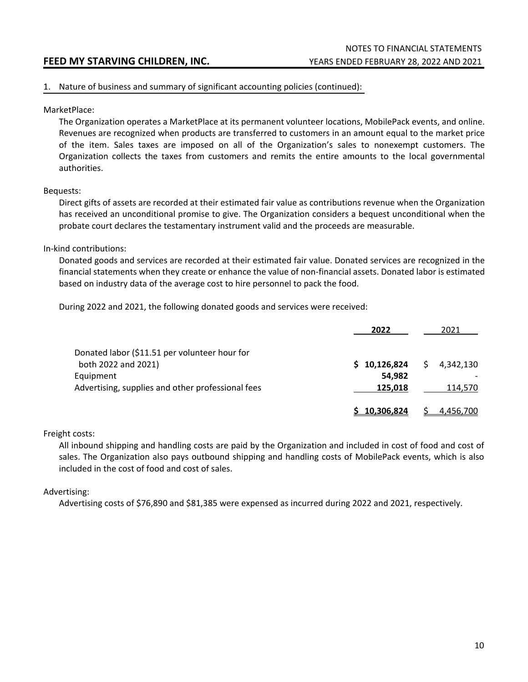### MarketPlace:

The Organization operates a MarketPlace at its permanent volunteer locations, MobilePack events, and online. Revenues are recognized when products are transferred to customers in an amount equal to the market price of the item. Sales taxes are imposed on all of the Organization's sales to nonexempt customers. The Organization collects the taxes from customers and remits the entire amounts to the local governmental authorities.

### Bequests:

Direct gifts of assets are recorded at their estimated fair value as contributions revenue when the Organization has received an unconditional promise to give. The Organization considers a bequest unconditional when the probate court declares the testamentary instrument valid and the proceeds are measurable.

## In‐kind contributions:

Donated goods and services are recorded at their estimated fair value. Donated services are recognized in the financial statements when they create or enhance the value of non-financial assets. Donated labor is estimated based on industry data of the average cost to hire personnel to pack the food.

During 2022 and 2021, the following donated goods and services were received:

|                                                   | 2022         | 2021            |
|---------------------------------------------------|--------------|-----------------|
| Donated labor (\$11.51 per volunteer hour for     |              |                 |
| both 2022 and 2021)                               | \$10,126,824 | 4.342.130<br>S. |
| Equipment                                         | 54.982       |                 |
| Advertising, supplies and other professional fees | 125.018      | 114,570         |
|                                                   | 10,306,824   | 4,456,700       |

## Freight costs:

All inbound shipping and handling costs are paid by the Organization and included in cost of food and cost of sales. The Organization also pays outbound shipping and handling costs of MobilePack events, which is also included in the cost of food and cost of sales.

## Advertising:

Advertising costs of \$76,890 and \$81,385 were expensed as incurred during 2022 and 2021, respectively.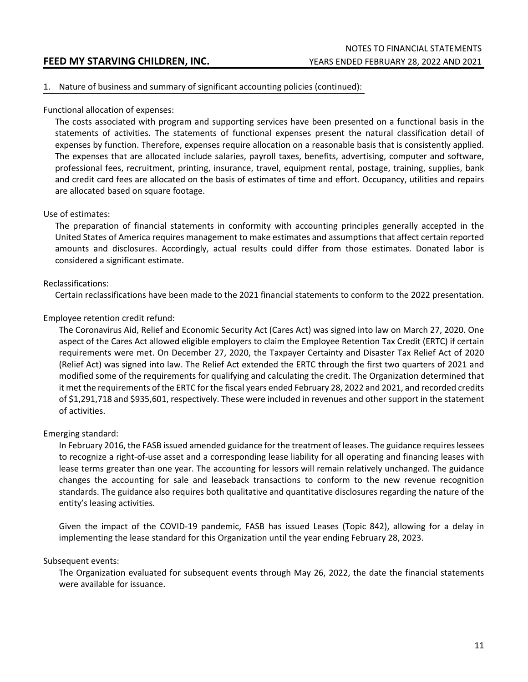### Functional allocation of expenses:

The costs associated with program and supporting services have been presented on a functional basis in the statements of activities. The statements of functional expenses present the natural classification detail of expenses by function. Therefore, expenses require allocation on a reasonable basis that is consistently applied. The expenses that are allocated include salaries, payroll taxes, benefits, advertising, computer and software, professional fees, recruitment, printing, insurance, travel, equipment rental, postage, training, supplies, bank and credit card fees are allocated on the basis of estimates of time and effort. Occupancy, utilities and repairs are allocated based on square footage.

### Use of estimates:

The preparation of financial statements in conformity with accounting principles generally accepted in the United States of America requires management to make estimates and assumptions that affect certain reported amounts and disclosures. Accordingly, actual results could differ from those estimates. Donated labor is considered a significant estimate.

### Reclassifications:

Certain reclassifications have been made to the 2021 financial statements to conform to the 2022 presentation.

## Employee retention credit refund:

The Coronavirus Aid, Relief and Economic Security Act (Cares Act) was signed into law on March 27, 2020. One aspect of the Cares Act allowed eligible employers to claim the Employee Retention Tax Credit (ERTC) if certain requirements were met. On December 27, 2020, the Taxpayer Certainty and Disaster Tax Relief Act of 2020 (Relief Act) was signed into law. The Relief Act extended the ERTC through the first two quarters of 2021 and modified some of the requirements for qualifying and calculating the credit. The Organization determined that it met the requirements of the ERTC for the fiscal years ended February 28, 2022 and 2021, and recorded credits of \$1,291,718 and \$935,601, respectively. These were included in revenues and other support in the statement of activities.

## Emerging standard:

In February 2016, the FASB issued amended guidance for the treatment of leases. The guidance requireslessees to recognize a right‐of‐use asset and a corresponding lease liability for all operating and financing leases with lease terms greater than one year. The accounting for lessors will remain relatively unchanged. The guidance changes the accounting for sale and leaseback transactions to conform to the new revenue recognition standards. The guidance also requires both qualitative and quantitative disclosures regarding the nature of the entity's leasing activities.

Given the impact of the COVID‐19 pandemic, FASB has issued Leases (Topic 842), allowing for a delay in implementing the lease standard for this Organization until the year ending February 28, 2023.

#### Subsequent events:

The Organization evaluated for subsequent events through May 26, 2022, the date the financial statements were available for issuance.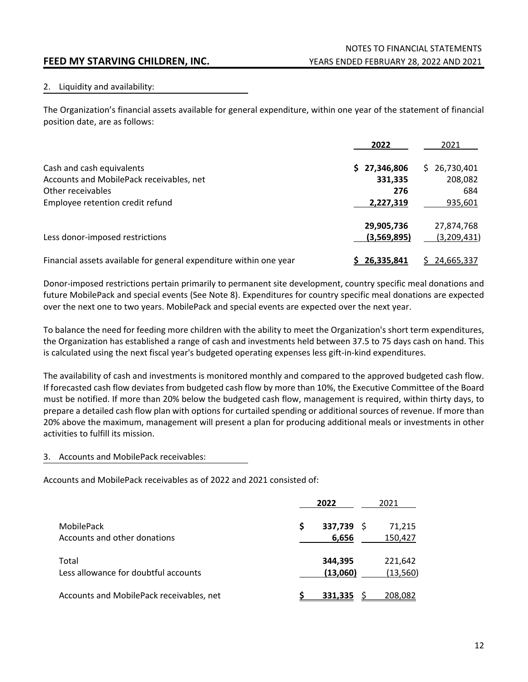## 2. Liquidity and availability:

The Organization's financial assets available for general expenditure, within one year of the statement of financial position date, are as follows:

|                                                                    | 2022         | 2021             |
|--------------------------------------------------------------------|--------------|------------------|
| Cash and cash equivalents                                          | \$27,346,806 | 26,730,401<br>S. |
| Accounts and MobilePack receivables, net                           | 331,335      | 208,082          |
| Other receivables                                                  | 276          | 684              |
| Employee retention credit refund                                   | 2,227,319    | 935,601          |
|                                                                    | 29,905,736   | 27,874,768       |
| Less donor-imposed restrictions                                    | (3,569,895)  | (3,209,431)      |
| Financial assets available for general expenditure within one year | 26,335,841   | 24,665,337       |

Donor‐imposed restrictions pertain primarily to permanent site development, country specific meal donations and future MobilePack and special events (See Note 8). Expenditures for country specific meal donations are expected over the next one to two years. MobilePack and special events are expected over the next year.

To balance the need for feeding more children with the ability to meet the Organization's short term expenditures, the Organization has established a range of cash and investments held between 37.5 to 75 days cash on hand. This is calculated using the next fiscal year's budgeted operating expenses less gift-in-kind expenditures.

The availability of cash and investments is monitored monthly and compared to the approved budgeted cash flow. If forecasted cash flow deviates from budgeted cash flow by more than 10%, the Executive Committee of the Board must be notified. If more than 20% below the budgeted cash flow, management is required, within thirty days, to prepare a detailed cash flow plan with options for curtailed spending or additional sources of revenue. If more than 20% above the maximum, management will present a plan for producing additional meals or investments in other activities to fulfill its mission.

## 3. Accounts and MobilePack receivables:

Accounts and MobilePack receivables as of 2022 and 2021 consisted of:

|                                          |   | 2022     | 2021      |
|------------------------------------------|---|----------|-----------|
| <b>MobilePack</b>                        | S | 337,739  | 71,215    |
| Accounts and other donations             |   | 6,656    | 150,427   |
| Total                                    |   | 344,395  | 221.642   |
| Less allowance for doubtful accounts     |   | (13,060) | (13, 560) |
| Accounts and MobilePack receivables, net |   | 331,335  | 208.082   |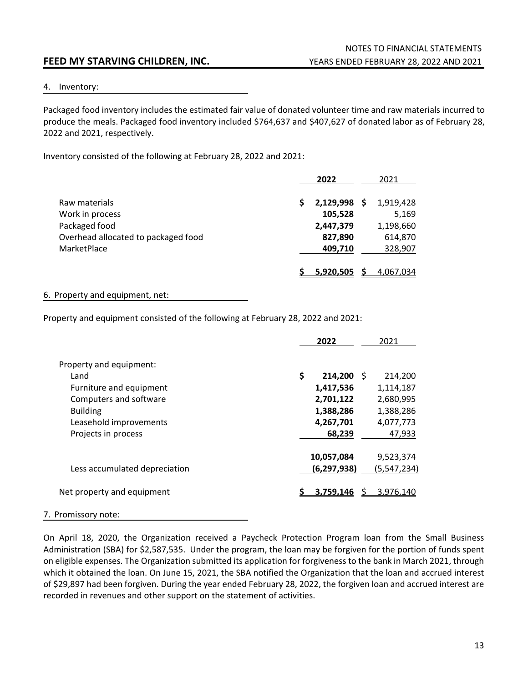#### 4. Inventory:

Packaged food inventory includes the estimated fair value of donated volunteer time and raw materials incurred to produce the meals. Packaged food inventory included \$764,637 and \$407,627 of donated labor as of February 28, 2022 and 2021, respectively.

Inventory consisted of the following at February 28, 2022 and 2021:

|                                     | 2022      | 2021           |
|-------------------------------------|-----------|----------------|
| Raw materials                       | 2,129,998 | 1,919,428<br>S |
| Work in process                     | 105,528   | 5,169          |
| Packaged food                       | 2,447,379 | 1,198,660      |
| Overhead allocated to packaged food | 827,890   | 614,870        |
| MarketPlace                         | 409,710   | 328,907        |
|                                     | 5,920,505 | 4.067.034      |

### 6. Property and equipment, net:

Property and equipment consisted of the following at February 28, 2022 and 2021:

|                               | 2022               | 2021          |
|-------------------------------|--------------------|---------------|
| Property and equipment:       |                    |               |
| Land                          | \$<br>$214,200$ \$ | 214,200       |
| Furniture and equipment       | 1,417,536          | 1,114,187     |
| Computers and software        | 2,701,122          | 2,680,995     |
| <b>Building</b>               | 1,388,286          | 1,388,286     |
| Leasehold improvements        | 4,267,701          | 4,077,773     |
| Projects in process           | 68,239             | 47,933        |
|                               | 10,057,084         | 9,523,374     |
| Less accumulated depreciation | (6, 297, 938)      | (5, 547, 234) |
| Net property and equipment    | 3,759,146          | \$3,976,140   |

7. Promissory note:

On April 18, 2020, the Organization received a Paycheck Protection Program loan from the Small Business Administration (SBA) for \$2,587,535. Under the program, the loan may be forgiven for the portion of funds spent on eligible expenses. The Organization submitted its application for forgiveness to the bank in March 2021, through which it obtained the loan. On June 15, 2021, the SBA notified the Organization that the loan and accrued interest of \$29,897 had been forgiven. During the year ended February 28, 2022, the forgiven loan and accrued interest are recorded in revenues and other support on the statement of activities.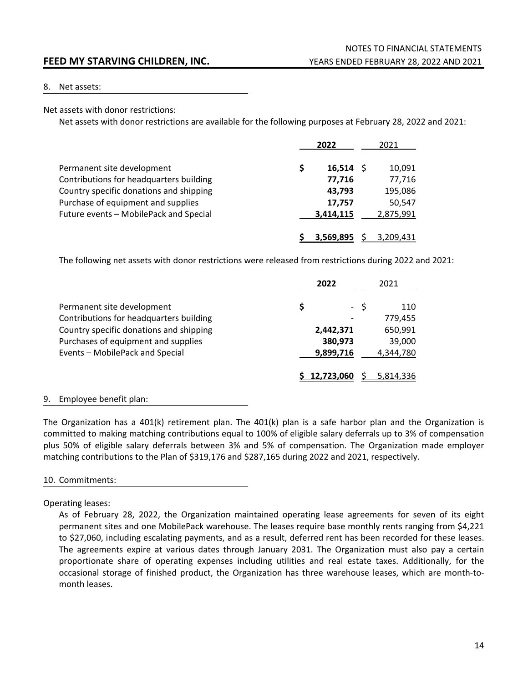#### 8. Net assets:

Net assets with donor restrictions:

Net assets with donor restrictions are available for the following purposes at February 28, 2022 and 2021:

|                                         |   | 2022      | 2021      |
|-----------------------------------------|---|-----------|-----------|
| Permanent site development              | S | 16.514    | 10,091    |
| Contributions for headquarters building |   | 77,716    | 77,716    |
| Country specific donations and shipping |   | 43,793    | 195,086   |
| Purchase of equipment and supplies      |   | 17,757    | 50,547    |
| Future events - MobilePack and Special  |   | 3,414,115 | 2,875,991 |
|                                         |   |           |           |
|                                         |   | 3,569,895 | 3.209.431 |

The following net assets with donor restrictions were released from restrictions during 2022 and 2021:

|                                         | 2022       | 2021       |
|-----------------------------------------|------------|------------|
| Permanent site development              | \$         | - S<br>110 |
| Contributions for headquarters building |            | 779,455    |
| Country specific donations and shipping | 2,442,371  | 650,991    |
| Purchases of equipment and supplies     | 380,973    | 39,000     |
| Events - MobilePack and Special         | 9,899,716  | 4,344,780  |
|                                         | 12,723,060 | 5.814.336  |

#### 9. Employee benefit plan:

The Organization has a 401(k) retirement plan. The 401(k) plan is a safe harbor plan and the Organization is committed to making matching contributions equal to 100% of eligible salary deferrals up to 3% of compensation plus 50% of eligible salary deferrals between 3% and 5% of compensation. The Organization made employer matching contributions to the Plan of \$319,176 and \$287,165 during 2022 and 2021, respectively.

## 10. Commitments:

Operating leases:

As of February 28, 2022, the Organization maintained operating lease agreements for seven of its eight permanent sites and one MobilePack warehouse. The leases require base monthly rents ranging from \$4,221 to \$27,060, including escalating payments, and as a result, deferred rent has been recorded for these leases. The agreements expire at various dates through January 2031. The Organization must also pay a certain proportionate share of operating expenses including utilities and real estate taxes. Additionally, for the occasional storage of finished product, the Organization has three warehouse leases, which are month‐to‐ month leases.